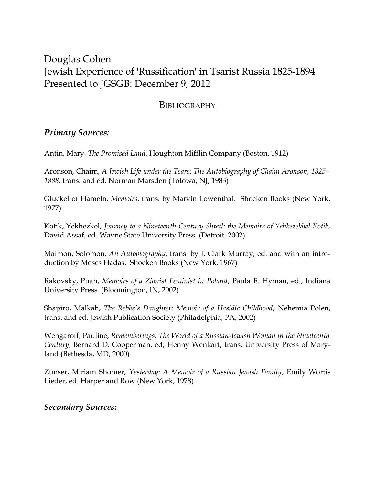## Douglas Cohen Jewish Experience of 'Russification' in Tsarist Russia 1825-1894 Presented to JGSGB: December 9, 2012

## **BIBLIOGRAPHY**

## *Primary Sources:*

Antin, Mary, *The Promised Land*, Houghton Mifflin Company (Boston, 1912)

Aronson, Chaim, *A Jewish Life under the Tsars: The Autobiography of Chaim Aronson, 1825– 1888,* trans. and ed. Norman Marsden (Totowa, NJ, 1983)

Glückel of Hameln, *Memoirs*, trans. by Marvin Lowenthal. Shocken Books (New York, 1977)

Kotik, Yekhezkel, *Journey to a Nineteenth-Century Shtetl: the Memoirs of Yehkezekhel Kotik,* David Assaf, ed. Wayne State University Press (Detroit, 2002)

Maimon, Solomon, *An Autobiography*, trans. by J. Clark Murray, ed. and with an introduction by Moses Hadas. Shocken Books (New York, 1967)

Rakovsky, Puah, *Memoirs of a Zionist Feminist in Poland*, Paula E. Hyman, ed., Indiana University Press (Bloomington, IN, 2002)

Shapiro, Malkah, *The Rebbe's Daughter: Memoir of a Hasidic Childhood*, Nehemia Polen, trans. and ed. Jewish Publication Society (Philadelphia, PA, 2002)

Wengaroff, Pauline, *Rememberings: The World of a Russian-Jewish Woman in the Nineteenth Century*, Bernard D. Cooperman, ed; Henny Wenkart, trans. University Press of Maryland (Bethesda, MD, 2000)

Zunser, Miriam Shomer, *Yesterday: A Memoir of a Russian Jewish Family*, Emily Wortis Lieder, ed. Harper and Row (New York, 1978)

## *Secondary Sources:*